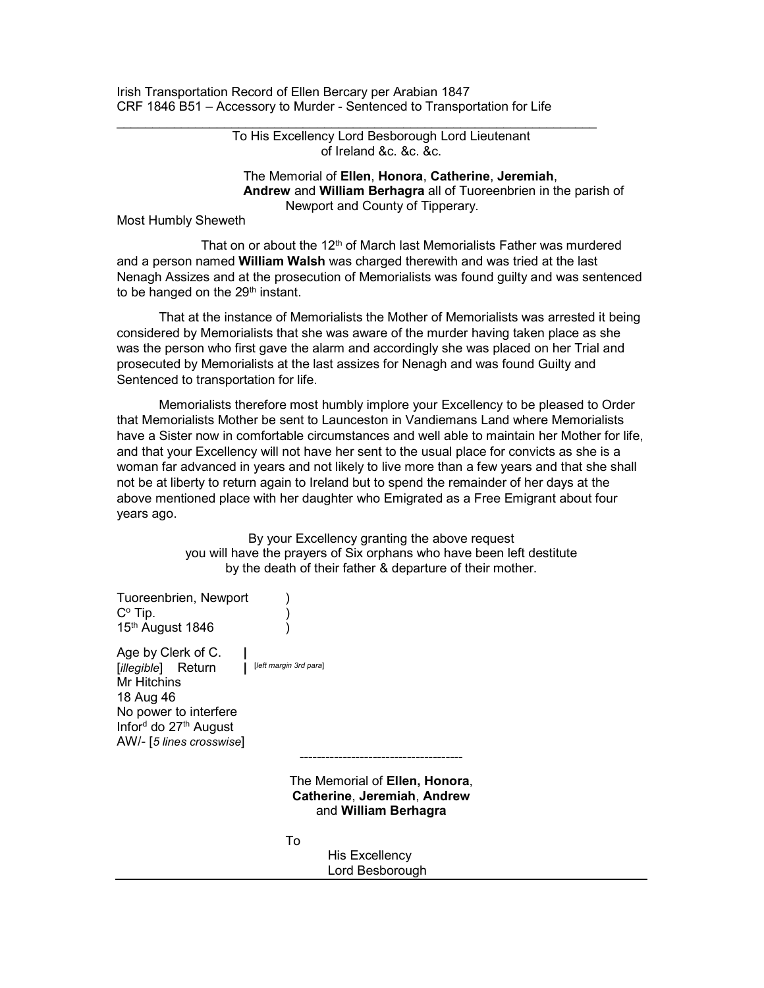Irish Transportation Record of Ellen Bercary per Arabian 1847 CRF 1846 B51 – Accessory to Murder - Sentenced to Transportation for Life

> To His Excellency Lord Besborough Lord Lieutenant of Ireland &c. &c. &c.

 The Memorial of Ellen, Honora, Catherine, Jeremiah, Andrew and William Berhagra all of Tuoreenbrien in the parish of Newport and County of Tipperary.

Most Humbly Sheweth

That on or about the 12<sup>th</sup> of March last Memorialists Father was murdered and a person named William Walsh was charged therewith and was tried at the last Nenagh Assizes and at the prosecution of Memorialists was found guilty and was sentenced to be hanged on the 29<sup>th</sup> instant.

 That at the instance of Memorialists the Mother of Memorialists was arrested it being considered by Memorialists that she was aware of the murder having taken place as she was the person who first gave the alarm and accordingly she was placed on her Trial and prosecuted by Memorialists at the last assizes for Nenagh and was found Guilty and Sentenced to transportation for life.

 Memorialists therefore most humbly implore your Excellency to be pleased to Order that Memorialists Mother be sent to Launceston in Vandiemans Land where Memorialists have a Sister now in comfortable circumstances and well able to maintain her Mother for life, and that your Excellency will not have her sent to the usual place for convicts as she is a woman far advanced in years and not likely to live more than a few years and that she shall not be at liberty to return again to Ireland but to spend the remainder of her days at the above mentioned place with her daughter who Emigrated as a Free Emigrant about four years ago.

> By your Excellency granting the above request you will have the prayers of Six orphans who have been left destitute by the death of their father & departure of their mother.

| Tuoreenbrien, Newport<br>$C^{\circ}$ Tip.<br>15th August 1846                                                                                                          |                                                                                       |
|------------------------------------------------------------------------------------------------------------------------------------------------------------------------|---------------------------------------------------------------------------------------|
| Age by Clerk of C.<br><i>[illegible</i> ] Return<br>Mr Hitchins<br>18 Aug 46<br>No power to interfere<br>Inford do 27 <sup>th</sup> August<br>AW/- [5 lines crosswise] | [left margin 3rd para]<br>------------------------------                              |
|                                                                                                                                                                        | The Memorial of Ellen, Honora,<br>Catherine, Jeremiah, Andrew<br>and William Berhagra |
|                                                                                                                                                                        | To<br>His Excellency<br>Lord Besborough                                               |